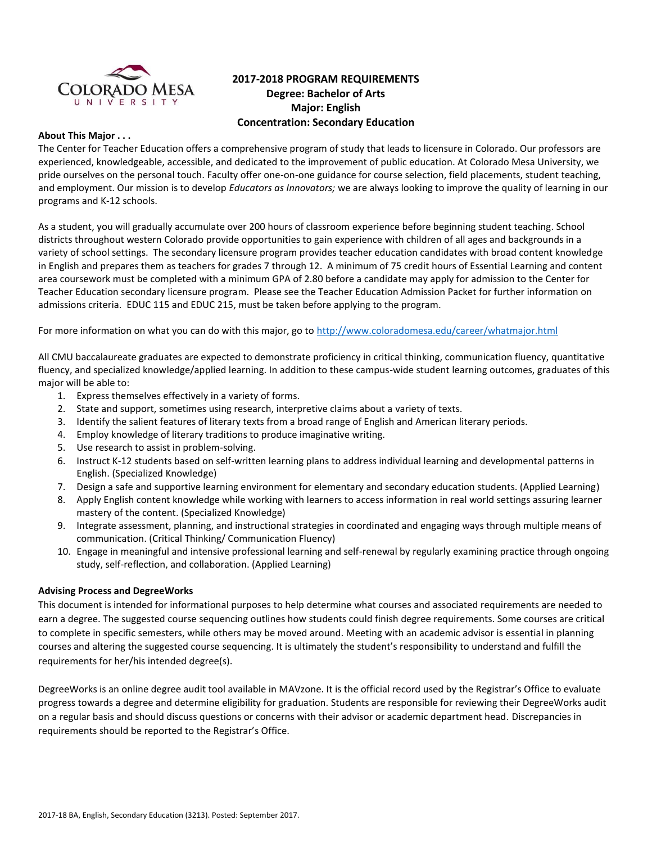

# **2017-2018 PROGRAM REQUIREMENTS Degree: Bachelor of Arts Major: English Concentration: Secondary Education**

## **About This Major . . .**

The Center for Teacher Education offers a comprehensive program of study that leads to licensure in Colorado. Our professors are experienced, knowledgeable, accessible, and dedicated to the improvement of public education. At Colorado Mesa University, we pride ourselves on the personal touch. Faculty offer one-on-one guidance for course selection, field placements, student teaching, and employment. Our mission is to develop *Educators as Innovators;* we are always looking to improve the quality of learning in our programs and K-12 schools.

As a student, you will gradually accumulate over 200 hours of classroom experience before beginning student teaching. School districts throughout western Colorado provide opportunities to gain experience with children of all ages and backgrounds in a variety of school settings. The secondary licensure program provides teacher education candidates with broad content knowledge in English and prepares them as teachers for grades 7 through 12. A minimum of 75 credit hours of Essential Learning and content area coursework must be completed with a minimum GPA of 2.80 before a candidate may apply for admission to the Center for Teacher Education secondary licensure program. Please see the Teacher Education Admission Packet for further information on admissions criteria. EDUC 115 and EDUC 215, must be taken before applying to the program.

For more information on what you can do with this major, go to<http://www.coloradomesa.edu/career/whatmajor.html>

All CMU baccalaureate graduates are expected to demonstrate proficiency in critical thinking, communication fluency, quantitative fluency, and specialized knowledge/applied learning. In addition to these campus-wide student learning outcomes, graduates of this major will be able to:

- 1. Express themselves effectively in a variety of forms.
- 2. State and support, sometimes using research, interpretive claims about a variety of texts.
- 3. Identify the salient features of literary texts from a broad range of English and American literary periods.
- 4. Employ knowledge of literary traditions to produce imaginative writing.
- 5. Use research to assist in problem-solving.
- 6. Instruct K-12 students based on self-written learning plans to address individual learning and developmental patterns in English. (Specialized Knowledge)
- 7. Design a safe and supportive learning environment for elementary and secondary education students. (Applied Learning)
- 8. Apply English content knowledge while working with learners to access information in real world settings assuring learner mastery of the content. (Specialized Knowledge)
- 9. Integrate assessment, planning, and instructional strategies in coordinated and engaging ways through multiple means of communication. (Critical Thinking/ Communication Fluency)
- 10. Engage in meaningful and intensive professional learning and self-renewal by regularly examining practice through ongoing study, self-reflection, and collaboration. (Applied Learning)

### **Advising Process and DegreeWorks**

This document is intended for informational purposes to help determine what courses and associated requirements are needed to earn a degree. The suggested course sequencing outlines how students could finish degree requirements. Some courses are critical to complete in specific semesters, while others may be moved around. Meeting with an academic advisor is essential in planning courses and altering the suggested course sequencing. It is ultimately the student's responsibility to understand and fulfill the requirements for her/his intended degree(s).

DegreeWorks is an online degree audit tool available in MAVzone. It is the official record used by the Registrar's Office to evaluate progress towards a degree and determine eligibility for graduation. Students are responsible for reviewing their DegreeWorks audit on a regular basis and should discuss questions or concerns with their advisor or academic department head. Discrepancies in requirements should be reported to the Registrar's Office.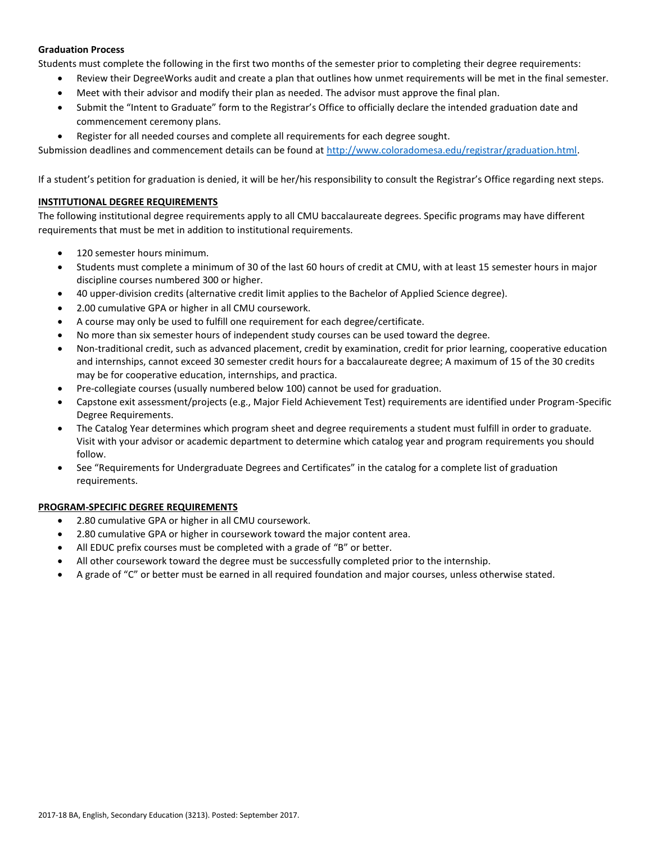## **Graduation Process**

Students must complete the following in the first two months of the semester prior to completing their degree requirements:

- Review their DegreeWorks audit and create a plan that outlines how unmet requirements will be met in the final semester.
- Meet with their advisor and modify their plan as needed. The advisor must approve the final plan.
- Submit the "Intent to Graduate" form to the Registrar's Office to officially declare the intended graduation date and commencement ceremony plans.
- Register for all needed courses and complete all requirements for each degree sought.

Submission deadlines and commencement details can be found at [http://www.coloradomesa.edu/registrar/graduation.html.](http://www.coloradomesa.edu/registrar/graduation.html)

If a student's petition for graduation is denied, it will be her/his responsibility to consult the Registrar's Office regarding next steps.

# **INSTITUTIONAL DEGREE REQUIREMENTS**

The following institutional degree requirements apply to all CMU baccalaureate degrees. Specific programs may have different requirements that must be met in addition to institutional requirements.

- 120 semester hours minimum.
- Students must complete a minimum of 30 of the last 60 hours of credit at CMU, with at least 15 semester hours in major discipline courses numbered 300 or higher.
- 40 upper-division credits (alternative credit limit applies to the Bachelor of Applied Science degree).
- 2.00 cumulative GPA or higher in all CMU coursework.
- A course may only be used to fulfill one requirement for each degree/certificate.
- No more than six semester hours of independent study courses can be used toward the degree.
- Non-traditional credit, such as advanced placement, credit by examination, credit for prior learning, cooperative education and internships, cannot exceed 30 semester credit hours for a baccalaureate degree; A maximum of 15 of the 30 credits may be for cooperative education, internships, and practica.
- Pre-collegiate courses (usually numbered below 100) cannot be used for graduation.
- Capstone exit assessment/projects (e.g., Major Field Achievement Test) requirements are identified under Program-Specific Degree Requirements.
- The Catalog Year determines which program sheet and degree requirements a student must fulfill in order to graduate. Visit with your advisor or academic department to determine which catalog year and program requirements you should follow.
- See "Requirements for Undergraduate Degrees and Certificates" in the catalog for a complete list of graduation requirements.

# **PROGRAM-SPECIFIC DEGREE REQUIREMENTS**

- 2.80 cumulative GPA or higher in all CMU coursework.
- 2.80 cumulative GPA or higher in coursework toward the major content area.
- All EDUC prefix courses must be completed with a grade of "B" or better.
- All other coursework toward the degree must be successfully completed prior to the internship.
- A grade of "C" or better must be earned in all required foundation and major courses, unless otherwise stated.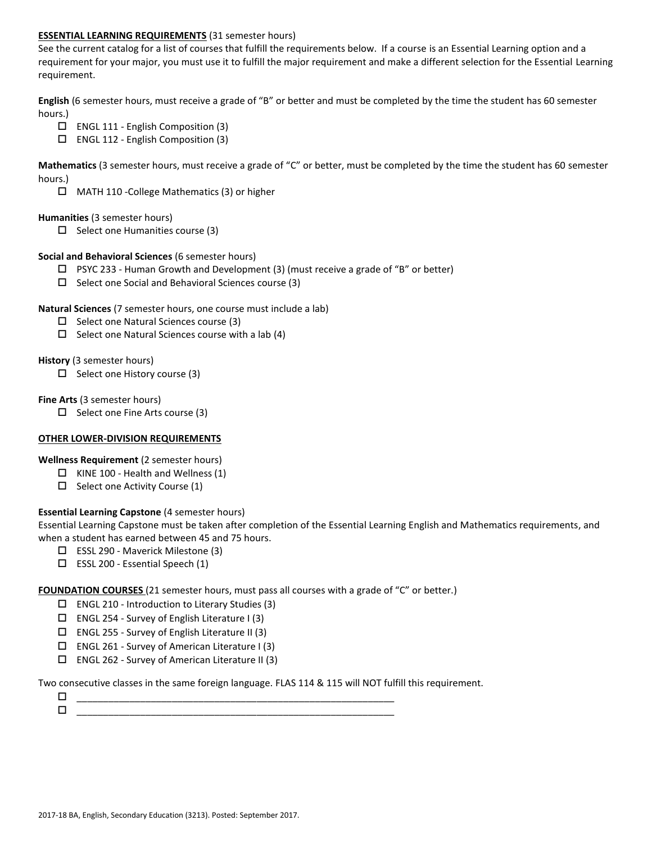## **ESSENTIAL LEARNING REQUIREMENTS** (31 semester hours)

See the current catalog for a list of courses that fulfill the requirements below. If a course is an Essential Learning option and a requirement for your major, you must use it to fulfill the major requirement and make a different selection for the Essential Learning requirement.

**English** (6 semester hours, must receive a grade of "B" or better and must be completed by the time the student has 60 semester hours.)

- ENGL 111 English Composition (3)
- ENGL 112 English Composition (3)

**Mathematics** (3 semester hours, must receive a grade of "C" or better, must be completed by the time the student has 60 semester hours.)

MATH 110 -College Mathematics (3) or higher

### **Humanities** (3 semester hours)

 $\Box$  Select one Humanities course (3)

## **Social and Behavioral Sciences** (6 semester hours)

- $\Box$  PSYC 233 Human Growth and Development (3) (must receive a grade of "B" or better)
- $\square$  Select one Social and Behavioral Sciences course (3)

### **Natural Sciences** (7 semester hours, one course must include a lab)

- $\square$  Select one Natural Sciences course (3)
- $\Box$  Select one Natural Sciences course with a lab (4)

## **History** (3 semester hours)

 $\Box$  Select one History course (3)

## **Fine Arts** (3 semester hours)

 $\Box$  Select one Fine Arts course (3)

### **OTHER LOWER-DIVISION REQUIREMENTS**

**Wellness Requirement** (2 semester hours)

- $\Box$  KINE 100 Health and Wellness (1)
- $\square$  Select one Activity Course (1)

# **Essential Learning Capstone** (4 semester hours)

Essential Learning Capstone must be taken after completion of the Essential Learning English and Mathematics requirements, and when a student has earned between 45 and 75 hours.

- ESSL 290 Maverick Milestone (3)
- $\Box$  ESSL 200 Essential Speech (1)

**FOUNDATION COURSES** (21 semester hours, must pass all courses with a grade of "C" or better.)

- $\Box$  ENGL 210 Introduction to Literary Studies (3)
- $\square$  ENGL 254 Survey of English Literature I (3)
- $\square$  ENGL 255 Survey of English Literature II (3)
- $\square$  ENGL 261 Survey of American Literature I (3)
- $\square$  ENGL 262 Survey of American Literature II (3)

Two consecutive classes in the same foreign language. FLAS 114 & 115 will NOT fulfill this requirement.

 \_\_\_\_\_\_\_\_\_\_\_\_\_\_\_\_\_\_\_\_\_\_\_\_\_\_\_\_\_\_\_\_\_\_\_\_\_\_\_\_\_\_\_\_\_\_\_\_\_\_\_\_\_\_\_\_\_\_\_\_ \_\_\_\_\_\_\_\_\_\_\_\_\_\_\_\_\_\_\_\_\_\_\_\_\_\_\_\_\_\_\_\_\_\_\_\_\_\_\_\_\_\_\_\_\_\_\_\_\_\_\_\_\_\_\_\_\_\_\_\_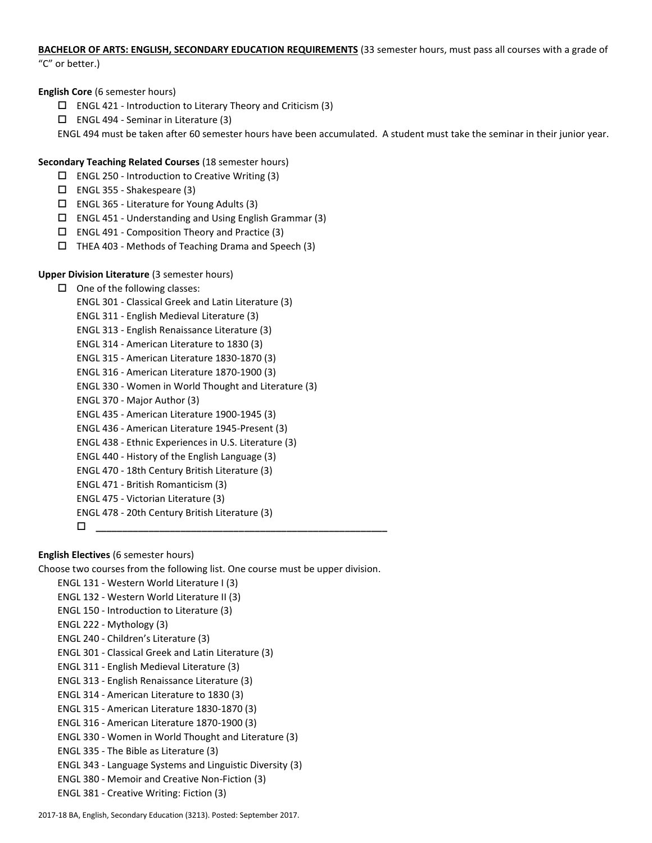# **BACHELOR OF ARTS: ENGLISH, SECONDARY EDUCATION REQUIREMENTS** (33 semester hours, must pass all courses with a grade of

"C" or better.)

# **English Core** (6 semester hours)

- $\square$  ENGL 421 Introduction to Literary Theory and Criticism (3)
- $\Box$  ENGL 494 Seminar in Literature (3)

ENGL 494 must be taken after 60 semester hours have been accumulated. A student must take the seminar in their junior year.

# **Secondary Teaching Related Courses** (18 semester hours)

- $\square$  ENGL 250 Introduction to Creative Writing (3)
- ENGL 355 Shakespeare (3)
- $\square$  ENGL 365 Literature for Young Adults (3)
- $\square$  ENGL 451 Understanding and Using English Grammar (3)
- $\square$  ENGL 491 Composition Theory and Practice (3)
- $\Box$  THEA 403 Methods of Teaching Drama and Speech (3)

# **Upper Division Literature** (3 semester hours)

# $\Box$  One of the following classes: ENGL 301 - Classical Greek and Latin Literature (3) ENGL 311 - English Medieval Literature (3) ENGL 313 - English Renaissance Literature (3) ENGL 314 - American Literature to 1830 (3) ENGL 315 - American Literature 1830-1870 (3) ENGL 316 - American Literature 1870-1900 (3) ENGL 330 - Women in World Thought and Literature (3) ENGL 370 - Major Author (3) ENGL 435 - American Literature 1900-1945 (3) ENGL 436 - American Literature 1945-Present (3) ENGL 438 - Ethnic Experiences in U.S. Literature (3) ENGL 440 - History of the English Language (3) ENGL 470 - 18th Century British Literature (3) ENGL 471 - British Romanticism (3) ENGL 475 - Victorian Literature (3) ENGL 478 - 20th Century British Literature (3) **\_\_\_\_\_\_\_\_\_\_\_\_\_\_\_\_\_\_\_\_\_\_\_\_\_\_\_\_\_\_\_\_\_\_\_\_\_\_\_\_\_\_\_\_\_\_\_\_\_\_\_\_\_\_\_**

# **English Electives** (6 semester hours)

Choose two courses from the following list. One course must be upper division.

- ENGL 131 Western World Literature I (3) ENGL 132 - Western World Literature II (3) ENGL 150 - Introduction to Literature (3)
- ENGL 222 Mythology (3)
- ENGL 240 Children's Literature (3)
- ENGL 301 Classical Greek and Latin Literature (3)
- ENGL 311 English Medieval Literature (3)
- ENGL 313 English Renaissance Literature (3)
- ENGL 314 American Literature to 1830 (3)
- ENGL 315 American Literature 1830-1870 (3)
- ENGL 316 American Literature 1870-1900 (3)
- ENGL 330 Women in World Thought and Literature (3)
- ENGL 335 The Bible as Literature (3)
- ENGL 343 Language Systems and Linguistic Diversity (3)
- ENGL 380 Memoir and Creative Non-Fiction (3)
- ENGL 381 Creative Writing: Fiction (3)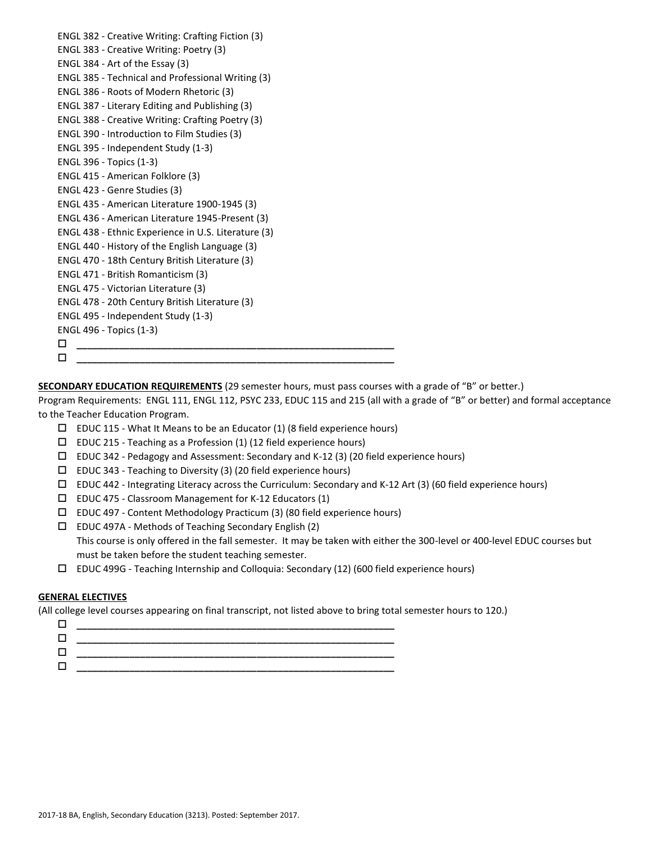| ENGL 382 - Creative Writing: Crafting Fiction (3)   |
|-----------------------------------------------------|
| ENGL 383 - Creative Writing: Poetry (3)             |
| ENGL 384 - Art of the Essay (3)                     |
| ENGL 385 - Technical and Professional Writing (3)   |
| ENGL 386 - Roots of Modern Rhetoric (3)             |
| ENGL 387 - Literary Editing and Publishing (3)      |
| ENGL 388 - Creative Writing: Crafting Poetry (3)    |
| ENGL 390 - Introduction to Film Studies (3)         |
| ENGL 395 - Independent Study (1-3)                  |
| <b>ENGL 396 - Topics (1-3)</b>                      |
| ENGL 415 - American Folklore (3)                    |
| ENGL 423 - Genre Studies (3)                        |
| ENGL 435 - American Literature 1900-1945 (3)        |
| ENGL 436 - American Literature 1945-Present (3)     |
| ENGL 438 - Ethnic Experience in U.S. Literature (3) |
| ENGL 440 - History of the English Language (3)      |
| ENGL 470 - 18th Century British Literature (3)      |
| ENGL 471 - British Romanticism (3)                  |
| ENGL 475 - Victorian Literature (3)                 |
| ENGL 478 - 20th Century British Literature (3)      |
| ENGL 495 - Independent Study (1-3)                  |
| <b>ENGL 496 - Topics (1-3)</b>                      |
| □                                                   |
| □                                                   |

**SECONDARY EDUCATION REQUIREMENTS** (29 semester hours, must pass courses with a grade of "B" or better.)

Program Requirements: ENGL 111, ENGL 112, PSYC 233, EDUC 115 and 215 (all with a grade of "B" or better) and formal acceptance to the Teacher Education Program.

- $\square$  EDUC 115 What It Means to be an Educator (1) (8 field experience hours)
- $\square$  EDUC 215 Teaching as a Profession (1) (12 field experience hours)
- EDUC 342 Pedagogy and Assessment: Secondary and K-12 (3) (20 field experience hours)
- $\square$  EDUC 343 Teaching to Diversity (3) (20 field experience hours)
- $\Box$  EDUC 442 Integrating Literacy across the Curriculum: Secondary and K-12 Art (3) (60 field experience hours)
- EDUC 475 Classroom Management for K-12 Educators (1)
- EDUC 497 Content Methodology Practicum (3) (80 field experience hours)

 EDUC 497A - Methods of Teaching Secondary English (2) This course is only offered in the fall semester. It may be taken with either the 300-level or 400-level EDUC courses but must be taken before the student teaching semester.

EDUC 499G - Teaching Internship and Colloquia: Secondary (12) (600 field experience hours)

# **GENERAL ELECTIVES**

(All college level courses appearing on final transcript, not listed above to bring total semester hours to 120.)

| _______ |
|---------|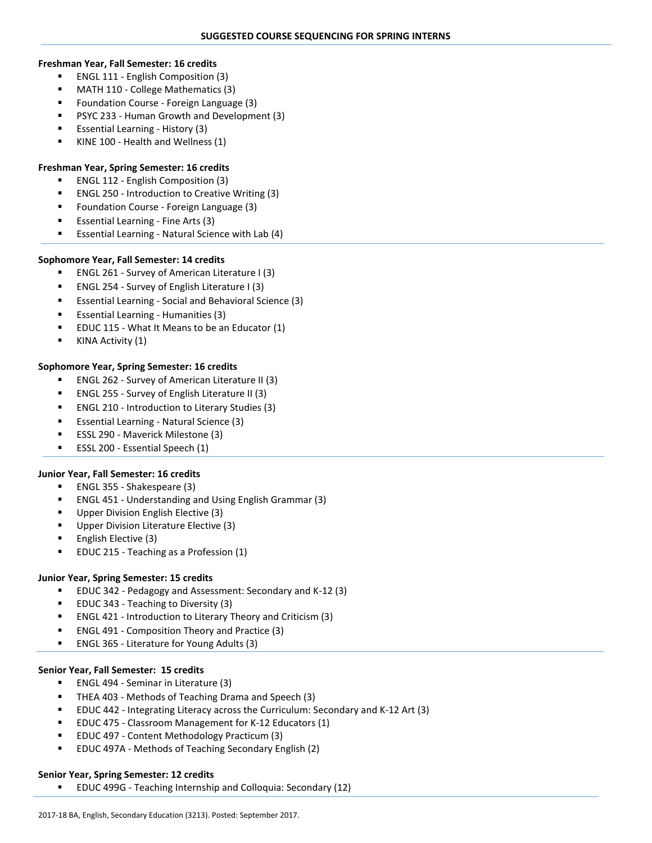#### **Freshman Year, Fall Semester: 16 credits**

- **ENGL 111 English Composition (3)**
- MATH 110 College Mathematics (3)
- Foundation Course Foreign Language (3)
- PSYC 233 Human Growth and Development (3)
- Essential Learning History (3)
- KINE 100 Health and Wellness (1)

## **Freshman Year, Spring Semester: 16 credits**

- ENGL 112 English Composition (3)
- ENGL 250 Introduction to Creative Writing (3)
- Foundation Course Foreign Language (3)
- Essential Learning Fine Arts (3)
- Essential Learning Natural Science with Lab (4)

## **Sophomore Year, Fall Semester: 14 credits**

- ENGL 261 Survey of American Literature I (3)
- ENGL 254 Survey of English Literature I (3)
- Essential Learning Social and Behavioral Science (3)
- Essential Learning Humanities (3)
- EDUC 115 What It Means to be an Educator (1)
- KINA Activity (1)

## **Sophomore Year, Spring Semester: 16 credits**

- ENGL 262 Survey of American Literature II (3)
- ENGL 255 Survey of English Literature II (3)
- ENGL 210 Introduction to Literary Studies (3)
- Essential Learning Natural Science (3)
- ESSL 290 Maverick Milestone (3)
- ESSL 200 Essential Speech (1)

### **Junior Year, Fall Semester: 16 credits**

- ENGL 355 Shakespeare (3)
- ENGL 451 Understanding and Using English Grammar (3)
- Upper Division English Elective (3)
- Upper Division Literature Elective (3)
- English Elective (3)
- EDUC 215 Teaching as a Profession (1)

# **Junior Year, Spring Semester: 15 credits**

- EDUC 342 Pedagogy and Assessment: Secondary and K-12 (3)
- EDUC 343 Teaching to Diversity (3)
- ENGL 421 Introduction to Literary Theory and Criticism (3)
- ENGL 491 Composition Theory and Practice (3)
- ENGL 365 Literature for Young Adults (3)

### **Senior Year, Fall Semester: 15 credits**

- **ENGL 494 Seminar in Literature (3)**
- THEA 403 Methods of Teaching Drama and Speech (3)
- EDUC 442 Integrating Literacy across the Curriculum: Secondary and K-12 Art (3)
- EDUC 475 Classroom Management for K-12 Educators (1)
- EDUC 497 Content Methodology Practicum (3)
- EDUC 497A Methods of Teaching Secondary English (2)

### **Senior Year, Spring Semester: 12 credits**

EDUC 499G - Teaching Internship and Colloquia: Secondary (12)